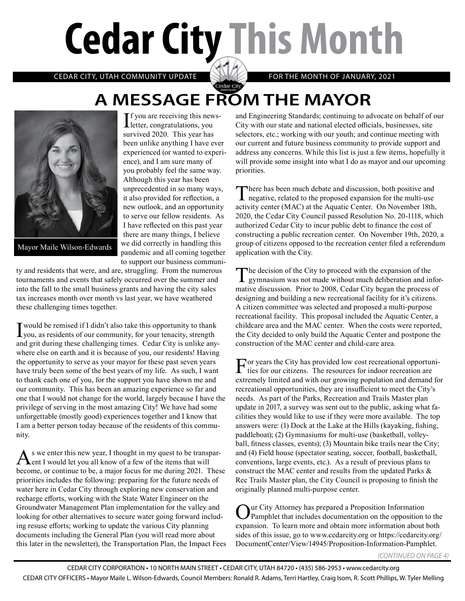# **Cedar City This Month**

CEDAR CITY, UTAH COMMUNITY UPDATE FOR THE MONTH OF JANUARY, 2021

## **A MESSAGE FROM THE MAYOR**



Mayor Maile Wilson-Edwards

If you are receiving this news-<br>letter, congratulations, you letter, congratulations, you survived 2020. This year has been unlike anything I have ever experienced (or wanted to experience), and I am sure many of you probably feel the same way. Although this year has been unprecedented in so many ways, it also provided for reflection, a new outlook, and an opportunity to serve our fellow residents. As I have reflected on this past year there are many things, I believe we did correctly in handling this pandemic and all coming together to support our business communi-

ty and residents that were, and are, struggling. From the numerous tournaments and events that safely occurred over the summer and into the fall to the small business grants and having the city sales tax increases month over month vs last year, we have weathered these challenging times together.

I would be remised if I didn't also take this opportunity to thank you, as residents of our community, for your tenacity, strength and grit during these challenging times. Cedar City is unlike anywhere else on earth and it is because of you, our residents! Having the opportunity to serve as your mayor for these past seven years have truly been some of the best years of my life. As such, I want to thank each one of you, for the support you have shown me and our community. This has been an amazing experience so far and one that I would not change for the world, largely because I have the privilege of serving in the most amazing City! We have had some unforgettable (mostly good) experiences together and I know that I am a better person today because of the residents of this community.

As we enter this new year, I thought in my quest to be transpar-<br>ent I would let you all know of a few of the items that will become, or continue to be, a major focus for me during 2021. These priorities includes the following: preparing for the future needs of water here in Cedar City through exploring new conservation and recharge efforts, working with the State Water Engineer on the Groundwater Management Plan implementation for the valley and looking for other alternatives to secure water going forward including resuse efforts; working to update the various City planning documents including the General Plan (you will read more about this later in the newsletter), the Transportation Plan, the Impact Fees and Engineering Standards; continuing to advocate on behalf of our City with our state and national elected officials, businesses, site selectors, etc.; working with our youth; and continue meeting with our current and future business community to provide support and address any concerns. While this list is just a few items, hopefully it will provide some insight into what I do as mayor and our upcoming priorities.

There has been much debate and discussion, both positive and negative, related to the proposed expansion for the multi-use activity center (MAC) at the Aquatic Center. On November 18th, 2020, the Cedar City Council passed Resolution No. 20-1118, which authorized Cedar City to incur public debt to finance the cost of constructing a public recreation center. On November 19th, 2020, a group of citizens opposed to the recreation center filed a referendum application with the City.

The decision of the City to proceed with the expansion of the gymnasium was not made without much deliberation and informative discussion. Prior to 2008, Cedar City began the process of designing and building a new recreational facility for it's citizens. A citizen committee was selected and proposed a multi-purpose recreational facility. This proposal included the Aquatic Center, a childcare area and the MAC center. When the costs were reported, the City decided to only build the Aquatic Center and postpone the construction of the MAC center and child-care area.

For years the City has provided low cost recreational opportuni-ties for our citizens. The resources for indoor recreation are extremely limited and with our growing population and demand for recreational opportunities, they are insufficient to meet the City's needs. As part of the Parks, Recreation and Trails Master plan update in 2017, a survey was sent out to the public, asking what facilities they would like to use if they were more available. The top answers were: (1) Dock at the Lake at the Hills (kayaking, fishing, paddleboat); (2) Gymnasiums for multi-use (basketball, volleyball, fitness classes, events); (3) Mountain bike trails near the City; and (4) Field house (spectator seating, soccer, football, basketball, conventions, large events, etc.). As a result of previous plans to construct the MAC center and results from the updated Parks & Rec Trails Master plan, the City Council is proposing to finish the originally planned multi-purpose center.

Our City Attorney has prepared a Proposition Information Pamphlet that includes documentation on the opposition to the expansion. To learn more and obtain more information about both sides of this issue, go to www.cedarcity.org or https://cedarcity.org/ DocumentCenter/View/14945/Proposition-Information-Pamphlet.

*(CONTINUED ON PAGE 4)*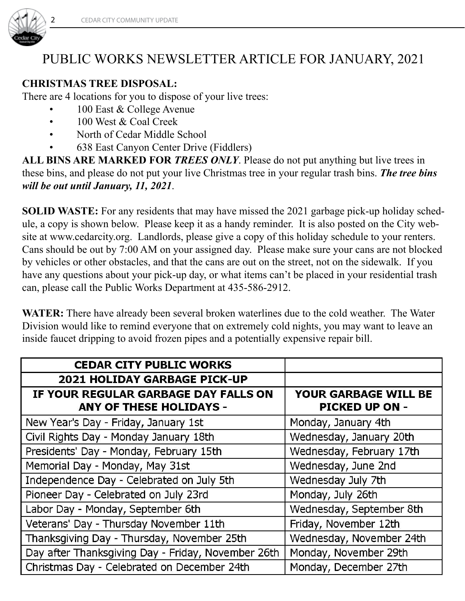

### PUBLIC WORKS NEWSLETTER ARTICLE FOR JANUARY, 2021

#### **CHRISTMAS TREE DISPOSAL:**

There are 4 locations for you to dispose of your live trees:

- 100 East & College Avenue
	- 100 West & Coal Creek
	- North of Cedar Middle School
	- 638 East Canyon Center Drive (Fiddlers)

**ALL BINS ARE MARKED FOR** *TREES ONLY*. Please do not put anything but live trees in these bins, and please do not put your live Christmas tree in your regular trash bins. *The tree bins will be out until January, 11, 2021*.

**SOLID WASTE:** For any residents that may have missed the 2021 garbage pick-up holiday schedule, a copy is shown below. Please keep it as a handy reminder. It is also posted on the City website at www.cedarcity.org. Landlords, please give a copy of this holiday schedule to your renters. Cans should be out by 7:00 AM on your assigned day. Please make sure your cans are not blocked by vehicles or other obstacles, and that the cans are out on the street, not on the sidewalk. If you have any questions about your pick-up day, or what items can't be placed in your residential trash can, please call the Public Works Department at 435-586-2912.

**WATER:** There have already been several broken waterlines due to the cold weather. The Water Division would like to remind everyone that on extremely cold nights, you may want to leave an inside faucet dripping to avoid frozen pipes and a potentially expensive repair bill.

| <b>CEDAR CITY PUBLIC WORKS</b>                                         |                                                      |
|------------------------------------------------------------------------|------------------------------------------------------|
| <b>2021 HOLIDAY GARBAGE PICK-UP</b>                                    |                                                      |
| IF YOUR REGULAR GARBAGE DAY FALLS ON<br><b>ANY OF THESE HOLIDAYS -</b> | <b>YOUR GARBAGE WILL BE</b><br><b>PICKED UP ON -</b> |
| New Year's Day - Friday, January 1st                                   | Monday, January 4th                                  |
| Civil Rights Day - Monday January 18th                                 | Wednesday, January 20th                              |
| Presidents' Day - Monday, February 15th                                | Wednesday, February 17th                             |
| Memorial Day - Monday, May 31st                                        | Wednesday, June 2nd                                  |
| Independence Day - Celebrated on July 5th                              | Wednesday July 7th                                   |
| Pioneer Day - Celebrated on July 23rd                                  | Monday, July 26th                                    |
| Labor Day - Monday, September 6th                                      | Wednesday, September 8th                             |
| Veterans' Day - Thursday November 11th                                 | Friday, November 12th                                |
| Thanksgiving Day - Thursday, November 25th                             | Wednesday, November 24th                             |
| Day after Thanksgiving Day - Friday, November 26th                     | Monday, November 29th                                |
| Christmas Day - Celebrated on December 24th                            | Monday, December 27th                                |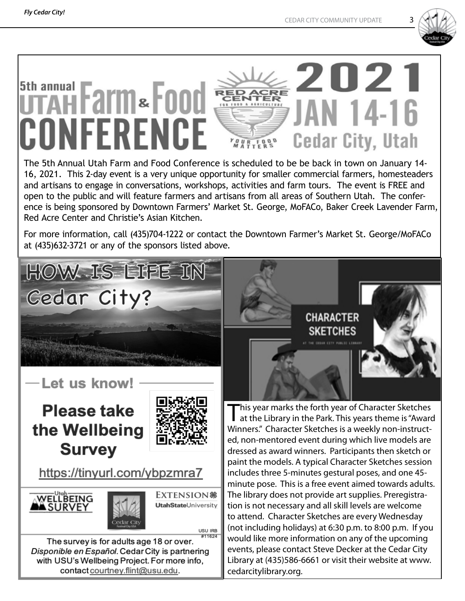

#### 2021 5th annual iFarm&Food JAN 14-16 CONFERENCE **Cedar City, Utah VOURFOOD**

The 5th Annual Utah Farm and Food Conference is scheduled to be be back in town on January 14- 16, 2021. This 2-day event is a very unique opportunity for smaller commercial farmers, homesteaders and artisans to engage in conversations, workshops, activities and farm tours. The event is FREE and open to the public and will feature farmers and artisans from all areas of Southern Utah. The conference is being sponsored by Downtown Farmers' Market St. George, MoFACo, Baker Creek Lavender Farm, Red Acre Center and Christie's Asian Kitchen.

For more information, call (435)704-1222 or contact the Downtown Farmer's Market St. George/MoFACo at (435)632-3721 or any of the sponsors listed above.





This year marks the forth year of Character Sketches<br>at the Library in the Park. This years theme is "Award Winners." Character Sketches is a weekly non-instructed, non-mentored event during which live models are dressed as award winners. Participants then sketch or paint the models. A typical Character Sketches session includes three 5-minutes gestural poses, and one 45 minute pose. This is a free event aimed towards adults. The library does not provide art supplies. Preregistration is not necessary and all skill levels are welcome to attend. Character Sketches are every Wednesday (not including holidays) at 6:30 p.m. to 8:00 p.m. If you would like more information on any of the upcoming events, please contact Steve Decker at the Cedar City Library at (435)586-6661 or visit their website at www. cedarcitylibrary.org.